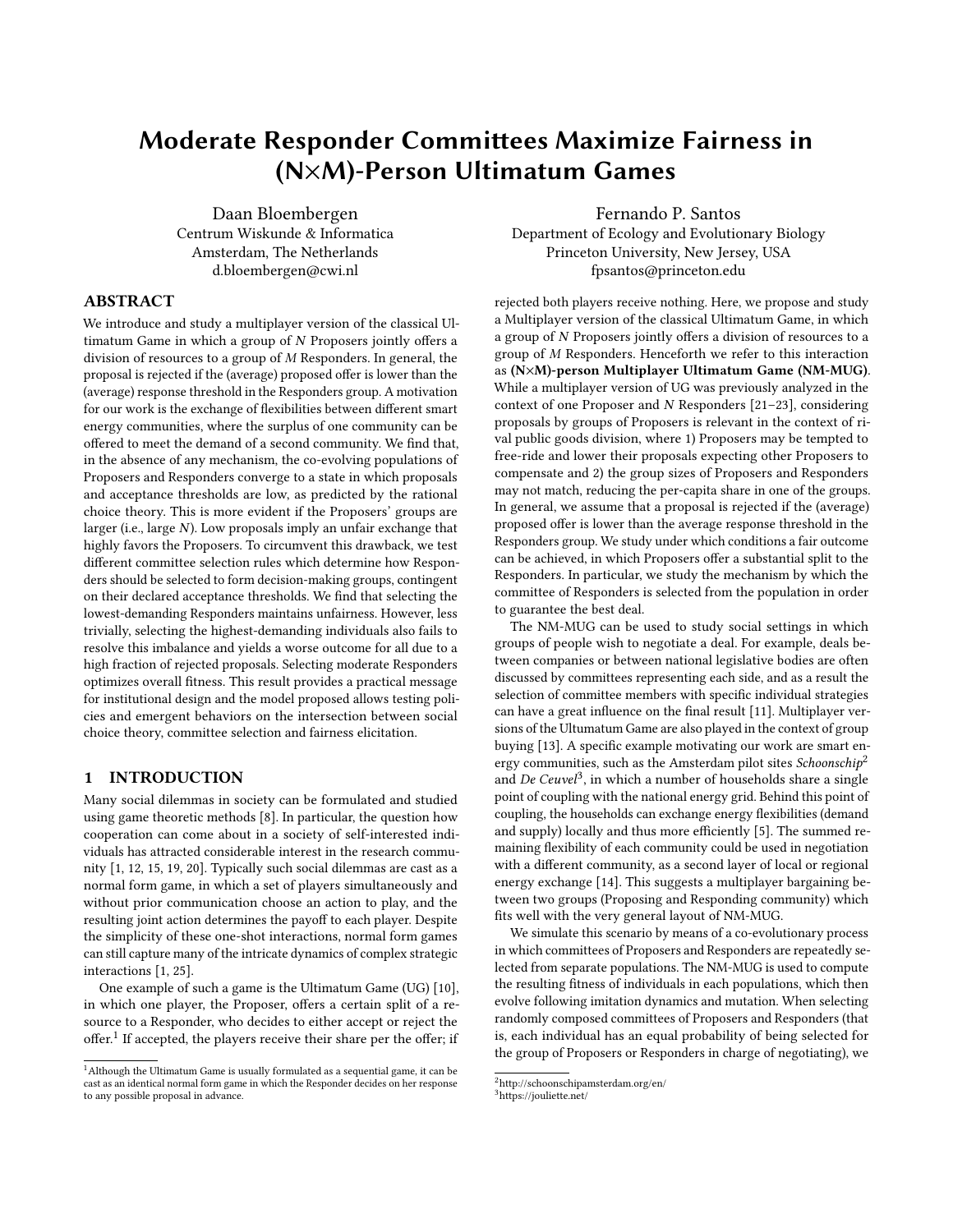# Moderate Responder Committees Maximize Fairness in (N×M)-Person Ultimatum Games

Daan Bloembergen Centrum Wiskunde & Informatica Amsterdam, The Netherlands d.bloembergen@cwi.nl

## ABSTRACT

We introduce and study a multiplayer version of the classical Ultimatum Game in which a group of N Proposers jointly offers a division of resources to a group of M Responders. In general, the proposal is rejected if the (average) proposed offer is lower than the (average) response threshold in the Responders group. A motivation for our work is the exchange of flexibilities between different smart energy communities, where the surplus of one community can be offered to meet the demand of a second community. We find that, in the absence of any mechanism, the co-evolving populations of Proposers and Responders converge to a state in which proposals and acceptance thresholds are low, as predicted by the rational choice theory. This is more evident if the Proposers' groups are larger (i.e., large N). Low proposals imply an unfair exchange that highly favors the Proposers. To circumvent this drawback, we test different committee selection rules which determine how Responders should be selected to form decision-making groups, contingent on their declared acceptance thresholds. We find that selecting the lowest-demanding Responders maintains unfairness. However, less trivially, selecting the highest-demanding individuals also fails to resolve this imbalance and yields a worse outcome for all due to a high fraction of rejected proposals. Selecting moderate Responders optimizes overall fitness. This result provides a practical message for institutional design and the model proposed allows testing policies and emergent behaviors on the intersection between social choice theory, committee selection and fairness elicitation.

## 1 INTRODUCTION

Many social dilemmas in society can be formulated and studied using game theoretic methods [\[8\]](#page-5-0). In particular, the question how cooperation can come about in a society of self-interested individuals has attracted considerable interest in the research community [\[1,](#page-5-1) [12,](#page-5-2) [15,](#page-5-3) [19,](#page-5-4) [20\]](#page-5-5). Typically such social dilemmas are cast as a normal form game, in which a set of players simultaneously and without prior communication choose an action to play, and the resulting joint action determines the payoff to each player. Despite the simplicity of these one-shot interactions, normal form games can still capture many of the intricate dynamics of complex strategic interactions [\[1,](#page-5-1) [25\]](#page-5-6).

One example of such a game is the Ultimatum Game (UG) [\[10\]](#page-5-7), in which one player, the Proposer, offers a certain split of a resource to a Responder, who decides to either accept or reject the offer.<sup>[1](#page-0-0)</sup> If accepted, the players receive their share per the offer; if

Fernando P. Santos Department of Ecology and Evolutionary Biology Princeton University, New Jersey, USA fpsantos@princeton.edu

rejected both players receive nothing. Here, we propose and study a Multiplayer version of the classical Ultimatum Game, in which a group of N Proposers jointly offers a division of resources to a group of M Responders. Henceforth we refer to this interaction as (N×M)-person Multiplayer Ultimatum Game (NM-MUG). While a multiplayer version of UG was previously analyzed in the context of one Proposer and N Responders [\[21](#page-5-8)[–23\]](#page-5-9), considering proposals by groups of Proposers is relevant in the context of rival public goods division, where 1) Proposers may be tempted to free-ride and lower their proposals expecting other Proposers to compensate and 2) the group sizes of Proposers and Responders may not match, reducing the per-capita share in one of the groups. In general, we assume that a proposal is rejected if the (average) proposed offer is lower than the average response threshold in the Responders group. We study under which conditions a fair outcome can be achieved, in which Proposers offer a substantial split to the Responders. In particular, we study the mechanism by which the committee of Responders is selected from the population in order to guarantee the best deal.

The NM-MUG can be used to study social settings in which groups of people wish to negotiate a deal. For example, deals between companies or between national legislative bodies are often discussed by committees representing each side, and as a result the selection of committee members with specific individual strategies can have a great influence on the final result [\[11\]](#page-5-10). Multiplayer versions of the Ultumatum Game are also played in the context of group buying [\[13\]](#page-5-11). A specific example motivating our work are smart energy communities, such as the Amsterdam pilot sites  $Schoonschip<sup>2</sup>$  $Schoonschip<sup>2</sup>$  $Schoonschip<sup>2</sup>$ and De Ceuvel<sup>[3](#page-0-2)</sup>, in which a number of households share a single point of coupling with the national energy grid. Behind this point of coupling, the households can exchange energy flexibilities (demand and supply) locally and thus more efficiently [\[5\]](#page-5-12). The summed remaining flexibility of each community could be used in negotiation with a different community, as a second layer of local or regional energy exchange [\[14\]](#page-5-13). This suggests a multiplayer bargaining between two groups (Proposing and Responding community) which fits well with the very general layout of NM-MUG.

We simulate this scenario by means of a co-evolutionary process in which committees of Proposers and Responders are repeatedly selected from separate populations. The NM-MUG is used to compute the resulting fitness of individuals in each populations, which then evolve following imitation dynamics and mutation. When selecting randomly composed committees of Proposers and Responders (that is, each individual has an equal probability of being selected for the group of Proposers or Responders in charge of negotiating), we

<span id="page-0-0"></span> $^{\rm 1}$  Although the Ultimatum Game is usually formulated as a sequential game, it can be cast as an identical normal form game in which the Responder decides on her response to any possible proposal in advance.

<span id="page-0-1"></span> $^2$ <http://schoonschipamsterdam.org/en/>

<span id="page-0-2"></span><sup>3</sup><https://jouliette.net/>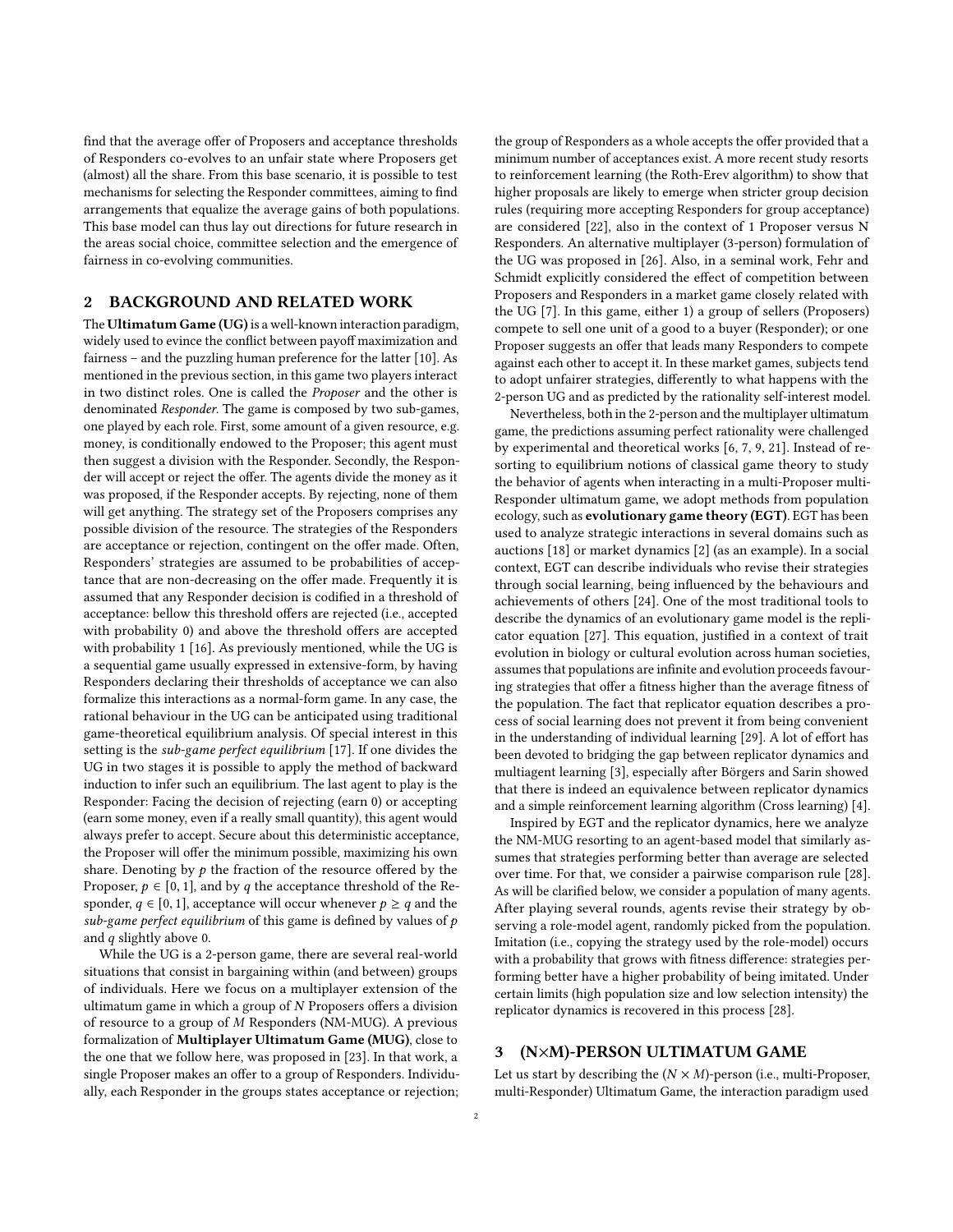find that the average offer of Proposers and acceptance thresholds of Responders co-evolves to an unfair state where Proposers get (almost) all the share. From this base scenario, it is possible to test mechanisms for selecting the Responder committees, aiming to find arrangements that equalize the average gains of both populations. This base model can thus lay out directions for future research in the areas social choice, committee selection and the emergence of fairness in co-evolving communities.

## 2 BACKGROUND AND RELATED WORK

The Ultimatum Game (UG) is a well-known interaction paradigm, widely used to evince the conflict between payoff maximization and fairness – and the puzzling human preference for the latter [\[10\]](#page-5-7). As mentioned in the previous section, in this game two players interact in two distinct roles. One is called the Proposer and the other is denominated Responder. The game is composed by two sub-games, one played by each role. First, some amount of a given resource, e.g. money, is conditionally endowed to the Proposer; this agent must then suggest a division with the Responder. Secondly, the Responder will accept or reject the offer. The agents divide the money as it was proposed, if the Responder accepts. By rejecting, none of them will get anything. The strategy set of the Proposers comprises any possible division of the resource. The strategies of the Responders are acceptance or rejection, contingent on the offer made. Often, Responders' strategies are assumed to be probabilities of acceptance that are non-decreasing on the offer made. Frequently it is assumed that any Responder decision is codified in a threshold of acceptance: bellow this threshold offers are rejected (i.e., accepted with probability 0) and above the threshold offers are accepted with probability 1 [\[16\]](#page-5-14). As previously mentioned, while the UG is a sequential game usually expressed in extensive-form, by having Responders declaring their thresholds of acceptance we can also formalize this interactions as a normal-form game. In any case, the rational behaviour in the UG can be anticipated using traditional game-theoretical equilibrium analysis. Of special interest in this setting is the sub-game perfect equilibrium [\[17\]](#page-5-15). If one divides the UG in two stages it is possible to apply the method of backward induction to infer such an equilibrium. The last agent to play is the Responder: Facing the decision of rejecting (earn 0) or accepting (earn some money, even if a really small quantity), this agent would always prefer to accept. Secure about this deterministic acceptance, the Proposer will offer the minimum possible, maximizing his own share. Denoting by  $p$  the fraction of the resource offered by the Proposer,  $p \in [0, 1]$ , and by q the acceptance threshold of the Responder,  $q \in [0, 1]$ , acceptance will occur whenever  $p \geq q$  and the sub-game perfect equilibrium of this game is defined by values of  $p$ and q slightly above 0.

While the UG is a 2-person game, there are several real-world situations that consist in bargaining within (and between) groups of individuals. Here we focus on a multiplayer extension of the ultimatum game in which a group of N Proposers offers a division of resource to a group of M Responders (NM-MUG). A previous formalization of Multiplayer Ultimatum Game (MUG), close to the one that we follow here, was proposed in [\[23\]](#page-5-9). In that work, a single Proposer makes an offer to a group of Responders. Individually, each Responder in the groups states acceptance or rejection; the group of Responders as a whole accepts the offer provided that a minimum number of acceptances exist. A more recent study resorts to reinforcement learning (the Roth-Erev algorithm) to show that higher proposals are likely to emerge when stricter group decision rules (requiring more accepting Responders for group acceptance) are considered [\[22\]](#page-5-16), also in the context of 1 Proposer versus N Responders. An alternative multiplayer (3-person) formulation of the UG was proposed in [\[26\]](#page-5-17). Also, in a seminal work, [Fehr and](#page-5-18) [Schmidt](#page-5-18) explicitly considered the effect of competition between Proposers and Responders in a market game closely related with the UG [\[7\]](#page-5-18). In this game, either 1) a group of sellers (Proposers) compete to sell one unit of a good to a buyer (Responder); or one Proposer suggests an offer that leads many Responders to compete against each other to accept it. In these market games, subjects tend to adopt unfairer strategies, differently to what happens with the 2-person UG and as predicted by the rationality self-interest model.

Nevertheless, both in the 2-person and the multiplayer ultimatum game, the predictions assuming perfect rationality were challenged by experimental and theoretical works [\[6,](#page-5-19) [7,](#page-5-18) [9,](#page-5-20) [21\]](#page-5-8). Instead of resorting to equilibrium notions of classical game theory to study the behavior of agents when interacting in a multi-Proposer multi-Responder ultimatum game, we adopt methods from population ecology, such as evolutionary game theory (EGT). EGT has been used to analyze strategic interactions in several domains such as auctions [\[18\]](#page-5-21) or market dynamics [\[2\]](#page-5-22) (as an example). In a social context, EGT can describe individuals who revise their strategies through social learning, being influenced by the behaviours and achievements of others [\[24\]](#page-5-23). One of the most traditional tools to describe the dynamics of an evolutionary game model is the replicator equation [\[27\]](#page-5-24). This equation, justified in a context of trait evolution in biology or cultural evolution across human societies, assumes that populations are infinite and evolution proceeds favouring strategies that offer a fitness higher than the average fitness of the population. The fact that replicator equation describes a process of social learning does not prevent it from being convenient in the understanding of individual learning [\[29\]](#page-5-25). A lot of effort has been devoted to bridging the gap between replicator dynamics and multiagent learning [\[3\]](#page-5-26), especially after [Börgers and Sarin](#page-5-27) showed that there is indeed an equivalence between replicator dynamics and a simple reinforcement learning algorithm (Cross learning) [\[4\]](#page-5-27).

Inspired by EGT and the replicator dynamics, here we analyze the NM-MUG resorting to an agent-based model that similarly assumes that strategies performing better than average are selected over time. For that, we consider a pairwise comparison rule [\[28\]](#page-5-28). As will be clarified below, we consider a population of many agents. After playing several rounds, agents revise their strategy by observing a role-model agent, randomly picked from the population. Imitation (i.e., copying the strategy used by the role-model) occurs with a probability that grows with fitness difference: strategies performing better have a higher probability of being imitated. Under certain limits (high population size and low selection intensity) the replicator dynamics is recovered in this process [\[28\]](#page-5-28).

# 3 (N×M)-PERSON ULTIMATUM GAME

Let us start by describing the  $(N \times M)$ -person (i.e., multi-Proposer, multi-Responder) Ultimatum Game, the interaction paradigm used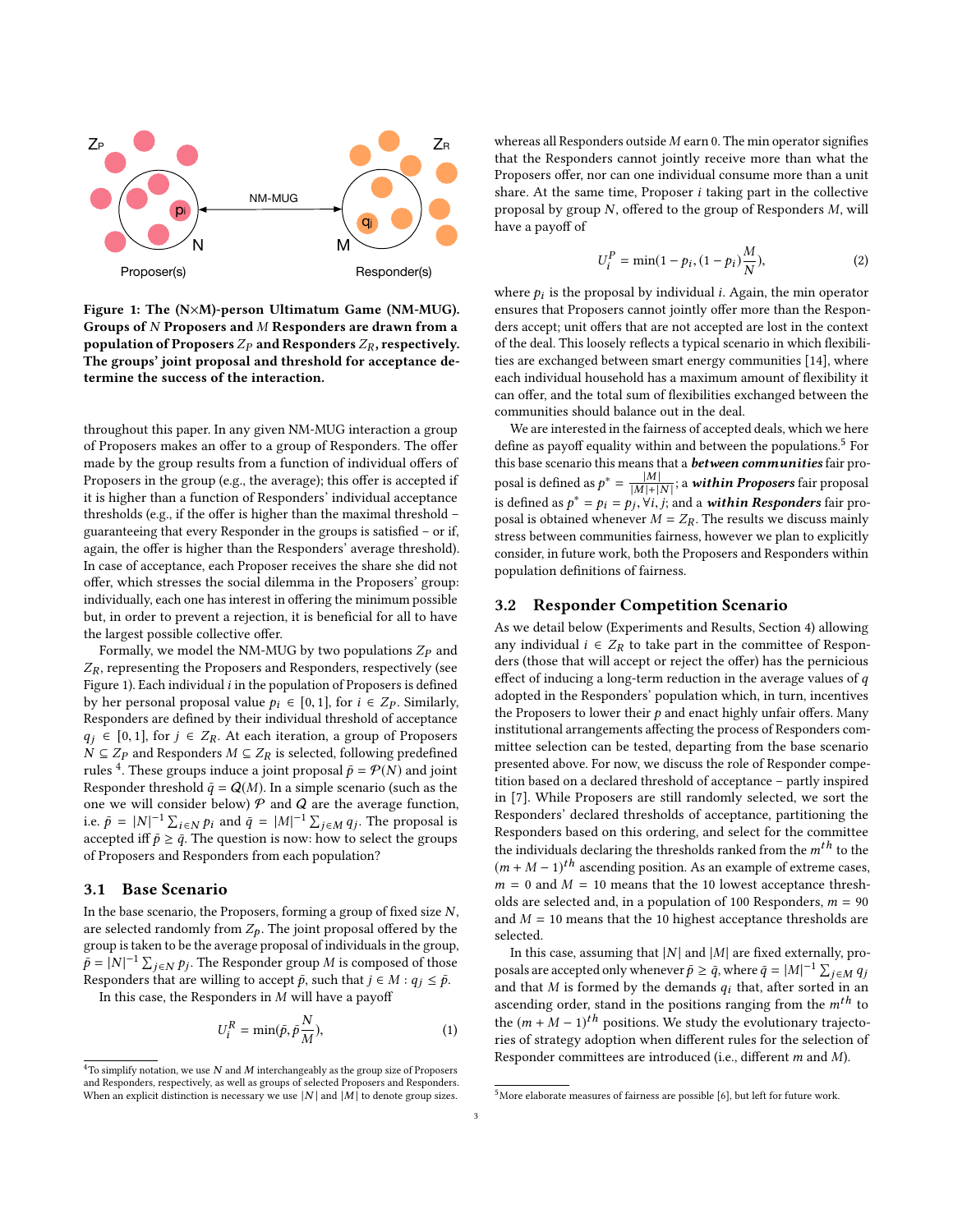<span id="page-2-0"></span>

Figure 1: The (N×M)-person Ultimatum Game (NM-MUG). Groups of N Proposers and M Responders are drawn from a population of Proposers  $Z_p$  and Responders  $Z_R$ , respectively. The groups' joint proposal and threshold for acceptance determine the success of the interaction.

throughout this paper. In any given NM-MUG interaction a group of Proposers makes an offer to a group of Responders. The offer made by the group results from a function of individual offers of Proposers in the group (e.g., the average); this offer is accepted if it is higher than a function of Responders' individual acceptance thresholds (e.g., if the offer is higher than the maximal threshold – guaranteeing that every Responder in the groups is satisfied – or if, again, the offer is higher than the Responders' average threshold). In case of acceptance, each Proposer receives the share she did not offer, which stresses the social dilemma in the Proposers' group: individually, each one has interest in offering the minimum possible but, in order to prevent a rejection, it is beneficial for all to have the largest possible collective offer.

Formally, we model the NM-MUG by two populations  $Z_p$  and  $Z_R$ , representing the Proposers and Responders, respectively (see Figure [1\)](#page-2-0). Each individual  $i$  in the population of Proposers is defined by her personal proposal value  $p_i \in [0, 1]$ , for  $i \in Z_P$ . Similarly, Responders are defined by their individual threshold of acceptance  $q_j \in [0, 1]$ , for  $j \in Z_R$ . At each iteration, a group of Proposers  $N ⊆ Z<sub>P</sub>$  $N ⊆ Z<sub>P</sub>$  $N ⊆ Z<sub>P</sub>$  and Responders  $M ⊆ Z<sub>R</sub>$  is selected, following predefined rules <sup>4</sup>. These groups induce a joint proposal  $\bar{p} = \mathcal{P}(N)$  and joint Responder threshold  $\bar{q} = O(M)$ . In a simple scenario (such as the Responder threshold  $\bar{q} = Q(M)$ . In a simple scenario (such as the one we will consider below)  $P$  and  $Q$  are the average function, i.e.  $\bar{p} = |N|^{-1} \sum_{i \in N} p_i$  and  $\bar{q} = |M|^{-1} \sum_{j \in M} q_j$ . The proposal is accepted iff  $\bar{p} \geq \bar{q}$ . The question is now: how to select the groups of Proposers and Responders from each population?

## 3.1 Base Scenario

In the base scenario, the Proposers, forming a group of fixed size  $N$ , are selected randomly from  $Z_p$ . The joint proposal offered by the group is taken to be the average proposal of individuals in the group,  $\bar{p} = |N|^{-1} \sum_{j \in N} p_j$ . The Responder group M is composed of those Responders that are willing to accept  $\bar{p}$  such that  $i \in M : q_i \leq \bar{p}$ Responders that are willing to accept  $\bar{p}$ , such that  $j \in M : q_j \leq \bar{p}$ .

In this case, the Responders in  $M$  will have a payoff

<span id="page-2-3"></span>
$$
U_i^R = \min(\bar{p}, \bar{p}\frac{N}{M}),\tag{1}
$$

whereas all Responders outside  $M$  earn 0. The min operator signifies that the Responders cannot jointly receive more than what the Proposers offer, nor can one individual consume more than a unit share. At the same time, Proposer  $i$  taking part in the collective proposal by group N, offered to the group of Responders M, will have a payoff of

<span id="page-2-4"></span>
$$
U_i^P = \min(1 - p_i, (1 - p_i)\frac{M}{N}),\tag{2}
$$

where  $p_i$  is the proposal by individual *i*. Again, the min operator ensures that Proposers cannot jointly offer more than the Responensures that Proposers cannot jointly offer more than the Responders accept; unit offers that are not accepted are lost in the context of the deal. This loosely reflects a typical scenario in which flexibilities are exchanged between smart energy communities [\[14\]](#page-5-13), where each individual household has a maximum amount of flexibility it can offer, and the total sum of flexibilities exchanged between the communities should balance out in the deal.

We are interested in the fairness of accepted deals, which we here define as payoff equality within and between the populations.<sup>[5](#page-2-2)</sup> For this base scenario this means that a **between communities** fair proposal is defined as  $p^* = \frac{|M|}{|M|+|}$  $\frac{|M|}{|M|+|N|}$ ; a **within Proposers** fair proposal<br>... Yi, i: and a **within Responders** fair pro is defined as  $p^* = p_i = p_j, \forall i, j$ ; and a **within Responders** fair pro-<br>posal is obtained whenever  $M = Z_0$ . The results we discuss mainly posal is obtained whenever  $M = Z_R$ . The results we discuss mainly stress between communities fairness, however we plan to explicitly consider, in future work, both the Proposers and Responders within population definitions of fairness.

## 3.2 Responder Competition Scenario

As we detail below (Experiments and Results, Section [4\)](#page-3-0) allowing any individual  $i \in Z_R$  to take part in the committee of Responders (those that will accept or reject the offer) has the pernicious effect of inducing a long-term reduction in the average values of  $q$ adopted in the Responders' population which, in turn, incentives the Proposers to lower their  $p$  and enact highly unfair offers. Many institutional arrangements affecting the process of Responders committee selection can be tested, departing from the base scenario presented above. For now, we discuss the role of Responder competition based on a declared threshold of acceptance – partly inspired in [\[7\]](#page-5-18). While Proposers are still randomly selected, we sort the Responders' declared thresholds of acceptance, partitioning the Responders based on this ordering, and select for the committee the individuals declaring the thresholds ranked from the  $m<sup>th</sup>$  to the  $(m + M - 1)<sup>th</sup>$  ascending position. As an example of extreme cases,<br> $m = 0$  and  $M = 10$  means that the 10 lowest accentance thresh $m = 0$  and  $M = 10$  means that the 10 lowest acceptance thresholds are selected and, in a population of 100 Responders,  $m = 90$ and  $M = 10$  means that the 10 highest acceptance thresholds are selected.

In this case, assuming that  $|N|$  and  $|M|$  are fixed externally, proposals are accepted only whenever  $\bar{p} \ge \bar{q}$ , where  $\bar{q} = |M|^{-1} \sum_{n=1}^{\infty}$ j∈M ¶j<br>lin an and that M is formed by the demands  $q_i$  that, after sorted in an assessment of the social in the positions requires from the  $n^{th}$  to ascending order, stand in the positions ranging from the  $m<sup>th</sup>$  to the  $(m + M - 1)^{th}$  positions. We study the evolutionary trajectoting of strategy adoption when different rules for the selection of ries of strategy adoption when different rules for the selection of Responder committees are introduced (i.e., different m and M).

<span id="page-2-1"></span> ${}^{4}{\rm To}$  simplify notation, we use  $N$  and  $M$  interchangeably as the group size of Proposers and Responders, respectively, as well as groups of selected Proposers and Responders. When an explicit distinction is necessary we use  $|N|$  and  $|M|$  to denote group sizes.

<span id="page-2-2"></span><sup>&</sup>lt;sup>5</sup>More elaborate measures of fairness are possible [\[6\]](#page-5-19), but left for future work.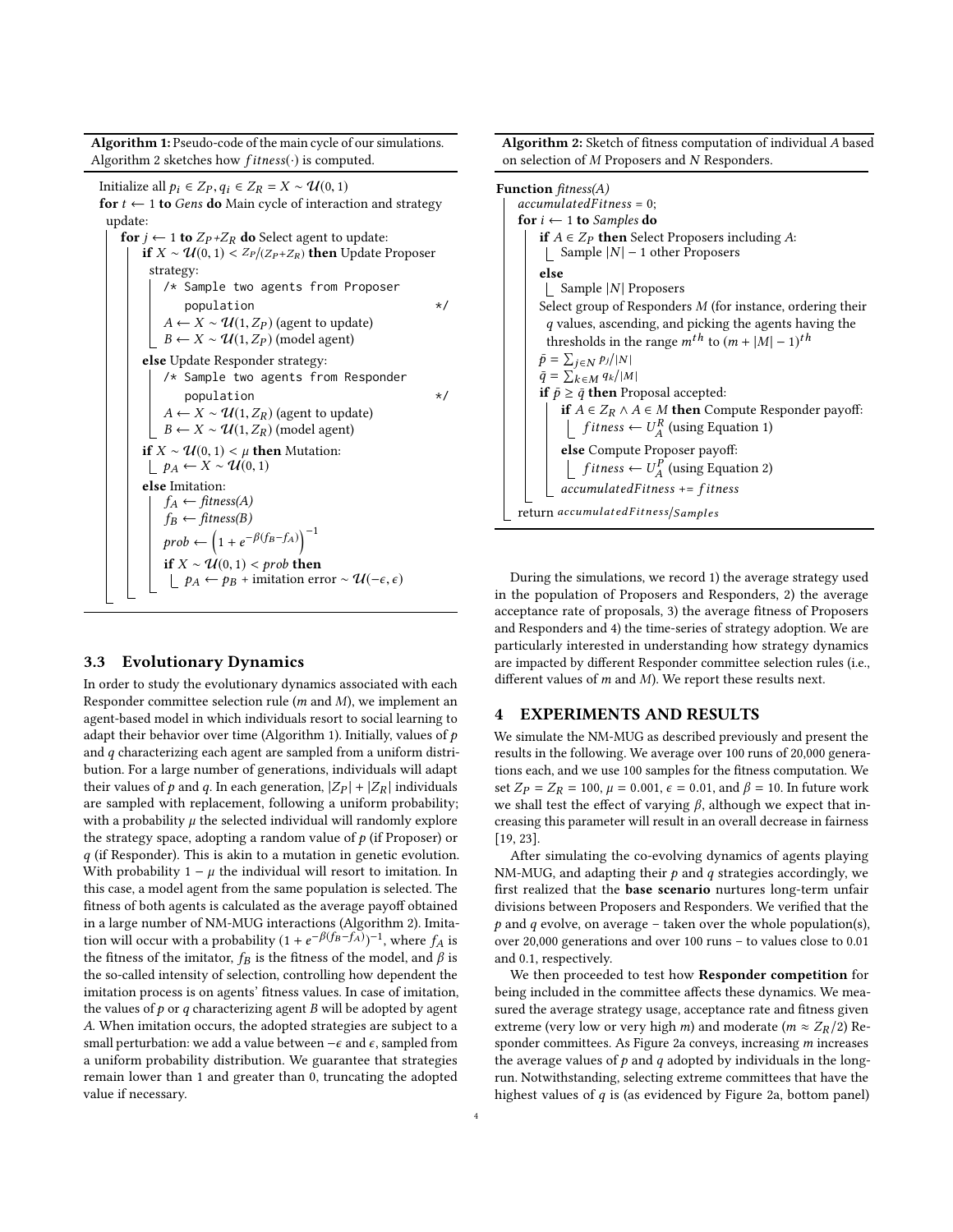Algorithm 1: Pseudo-code of the main cycle of our simulations. Algorithm [2](#page-3-1) sketches how  $fitness(\cdot)$  is computed.

Initialize all  $p_i$  ∈  $Z_P$ ,  $q_i$  ∈  $Z_R$  =  $X \sim \mathcal{U}(0, 1)$ for  $t \leftarrow 1$  to Gens do Main cycle of interaction and strategy update: for  $j \leftarrow 1$  to  $Z_P + Z_R$  do Select agent to update: **if**  $X \sim \mathcal{U}(0, 1) < Z_P/(Z_P + Z_R)$  **then** Update Proposer strategy: /\* Sample two agents from Proposer population  $*$ /  $A \leftarrow X \sim \mathcal{U}(1, Z_P)$  (agent to update)  $B \leftarrow X \sim \mathcal{U}(1, Z_P)$  (model agent) else Update Responder strategy: /\* Sample two agents from Responder population  $*$ /  $A \leftarrow X \sim \mathcal{U}(1, Z_R)$  (agent to update)  $B \leftarrow X \sim \mathcal{U}(1, Z_R)$  (model agent) if *X* ∼  $U(0, 1)$  < *µ* then Mutation:  $\perp p_A \leftarrow X \sim \mathcal{U}(0,1)$ else Imitation:  $f_A \leftarrow \text{fitness}(A)$  $f_B \leftarrow \text{fitness}(B)$  $prob \left(1 + e^{-\beta(f_B - f_A)}\right)^{-1}$ if  $X \sim \mathcal{U}(0, 1)$  < prob then  $\Box$  *p<sub>A</sub>* ← *p<sub>B</sub>* + imitation error ~  $\mathcal{U}(-\epsilon, \epsilon)$ 

#### <span id="page-3-2"></span>3.3 Evolutionary Dynamics

In order to study the evolutionary dynamics associated with each Responder committee selection rule  $(m \text{ and } M)$ , we implement an agent-based model in which individuals resort to social learning to adapt their behavior over time (Algorithm [1\)](#page-3-2). Initially, values of  $p$ and  $q$  characterizing each agent are sampled from a uniform distribution. For a large number of generations, individuals will adapt their values of p and q. In each generation,  $|Z_P| + |Z_R|$  individuals are sampled with replacement, following a uniform probability; with a probability  $\mu$  the selected individual will randomly explore the strategy space, adopting a random value of  $p$  (if Proposer) or  $q$  (if Responder). This is akin to a mutation in genetic evolution. With probability  $1 - \mu$  the individual will resort to imitation. In this case, a model agent from the same population is selected. The fitness of both agents is calculated as the average payoff obtained in a large number of NM-MUG interactions (Algorithm [2\)](#page-3-1). Imitation will occur with a probability  $(1 + e^{-\beta(f_B - f_A)})^{-1}$ , where  $f_A$  is<br>the fitness of the imitator, fo is the fitness of the model, and  $\beta$  is the fitness of the imitator,  $f_B$  is the fitness of the model, and  $\beta$  is the so-called intensity of selection, controlling how dependent the imitation process is on agents' fitness values. In case of imitation, the values of  $p$  or  $q$  characterizing agent  $B$  will be adopted by agent A. When imitation occurs, the adopted strategies are subject to a small perturbation: we add a value between  $-\epsilon$  and  $\epsilon$ , sampled from a uniform probability distribution. We guarantee that strategies remain lower than 1 and greater than 0, truncating the adopted value if necessary.

Algorithm 2: Sketch of fitness computation of individual A based on selection of M Proposers and N Responders.

| $accumulated Fitness = 0;$<br>for $i \leftarrow 1$ to Samples do<br><b>if</b> $A \in Z_P$ then Select Proposers including A:<br>Sample $ N $ – 1 other Proposers |
|------------------------------------------------------------------------------------------------------------------------------------------------------------------|
|                                                                                                                                                                  |
|                                                                                                                                                                  |
|                                                                                                                                                                  |
|                                                                                                                                                                  |
| else                                                                                                                                                             |
| $\vert$ Sample $\vert N \vert$ Proposers                                                                                                                         |
| Select group of Responders $M$ (for instance, ordering their                                                                                                     |
| q values, ascending, and picking the agents having the                                                                                                           |
| thresholds in the range $m^{th}$ to $(m +  M  - 1)^{th}$                                                                                                         |
| $\bar{p} = \sum_{j \in N} p_j /  N $                                                                                                                             |
| $\bar{q} = \sum_{k \in M} q_k /  M $                                                                                                                             |
| <b>if</b> $\bar{p} \geq \bar{q}$ <b>then</b> Proposal accepted:                                                                                                  |
| <b>if</b> $A \in Z_R \wedge A \in M$ then Compute Responder payoff:                                                                                              |
| <i>fitness</i> $\leftarrow U_A^R$ (using Equation 1)                                                                                                             |
| else Compute Proposer payoff:                                                                                                                                    |
| $\int$ fitness $\leftarrow U_A^P$ (using Equation 2)                                                                                                             |
| $accumulated Fitness += fitness$                                                                                                                                 |
| return accumulatedFitness/Samples                                                                                                                                |

<span id="page-3-1"></span>During the simulations, we record 1) the average strategy used in the population of Proposers and Responders, 2) the average acceptance rate of proposals, 3) the average fitness of Proposers and Responders and 4) the time-series of strategy adoption. We are particularly interested in understanding how strategy dynamics are impacted by different Responder committee selection rules (i.e., different values of  $m$  and  $M$ ). We report these results next.

### <span id="page-3-0"></span>4 EXPERIMENTS AND RESULTS

We simulate the NM-MUG as described previously and present the results in the following. We average over 100 runs of 20,000 generations each, and we use 100 samples for the fitness computation. We set  $Z_P = Z_R = 100$ ,  $\mu = 0.001$ ,  $\epsilon = 0.01$ , and  $\beta = 10$ . In future work we shall test the effect of varying  $\beta$ , although we expect that increasing this parameter will result in an overall decrease in fairness [\[19,](#page-5-4) [23\]](#page-5-9).

After simulating the co-evolving dynamics of agents playing NM-MUG, and adapting their  $p$  and  $q$  strategies accordingly, we first realized that the base scenario nurtures long-term unfair divisions between Proposers and Responders. We verified that the p and q evolve, on average – taken over the whole population(s), over 20,000 generations and over 100 runs – to values close to 0.01 and 0.1, respectively.

We then proceeded to test how **Responder competition** for being included in the committee affects these dynamics. We measured the average strategy usage, acceptance rate and fitness given extreme (very low or very high *m*) and moderate ( $m \approx Z_R/2$ ) Responder committees. As Figure [2a](#page-4-0) conveys, increasing m increases the average values of  $p$  and  $q$  adopted by individuals in the longrun. Notwithstanding, selecting extreme committees that have the highest values of  $q$  is (as evidenced by Figure [2a,](#page-4-0) bottom panel)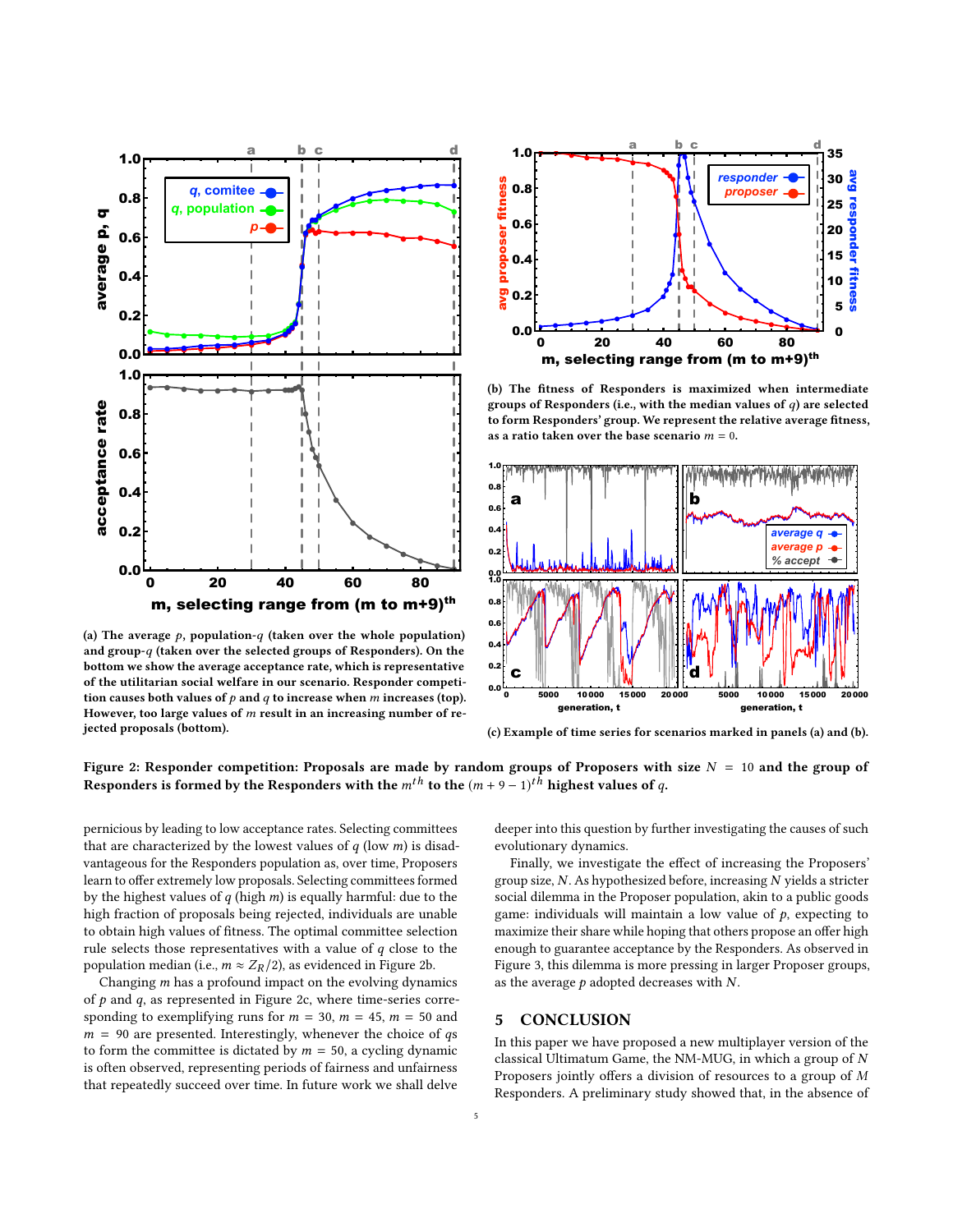<span id="page-4-0"></span>

(a) The average  $p$ , population-q (taken over the whole population) and group-q (taken over the selected groups of Responders). On the bottom we show the average acceptance rate, which is representative of the utilitarian social welfare in our scenario. Responder competition causes both values of  $p$  and  $q$  to increase when  $m$  increases (top). However, too large values of  $m$  result in an increasing number of rejected proposals (bottom).



(b) The fitness of Responders is maximized when intermediate groups of Responders (i.e., with the median values of  $q$ ) are selected to form Responders' group. We represent the relative average fitness, as a ratio taken over the base scenario  $m = 0$ .



(c) Example of time series for scenarios marked in panels (a) and (b).

Figure 2: Responder competition: Proposals are made by random groups of Proposers with size  $N = 10$  and the group of Responders is formed by the Responders with the  $m^{th}$  to the  $(m + 9 - 1)^{th}$  highest values of  $q$ .

pernicious by leading to low acceptance rates. Selecting committees that are characterized by the lowest values of  $q$  (low  $m$ ) is disadvantageous for the Responders population as, over time, Proposers learn to offer extremely low proposals. Selecting committees formed by the highest values of  $q$  (high  $m$ ) is equally harmful: due to the high fraction of proposals being rejected, individuals are unable to obtain high values of fitness. The optimal committee selection rule selects those representatives with a value of  $q$  close to the population median (i.e.,  $m \approx Z_R/2$  ), as evidenced in Figure [2b.](#page-4-0)

Changing  $m$  has a profound impact on the evolving dynamics of  $p$  and  $q$ , as represented in Figure [2c,](#page-4-0) where time-series corresponding to exemplifying runs for  $m = 30$ ,  $m = 45$ ,  $m = 50$  and  $m = 90$  are presented. Interestingly, whenever the choice of qs to form the committee is dictated by  $m = 50$ , a cycling dynamic is often observed, representing periods of fairness and unfairness that repeatedly succeed over time. In future work we shall delve deeper into this question by further investigating the causes of such evolutionary dynamics.

Finally, we investigate the effect of increasing the Proposers' group size, N. As hypothesized before, increasing N yields a stricter social dilemma in the Proposer population, akin to a public goods game: individuals will maintain a low value of  $p$ , expecting to maximize their share while hoping that others propose an offer high enough to guarantee acceptance by the Responders. As observed in Figure [3,](#page-5-29) this dilemma is more pressing in larger Proposer groups, as the average  $p$  adopted decreases with  $N$ .

#### 5 CONCLUSION

In this paper we have proposed a new multiplayer version of the classical Ultimatum Game, the NM-MUG, in which a group of  $N$ Proposers jointly offers a division of resources to a group of M Responders. A preliminary study showed that, in the absence of